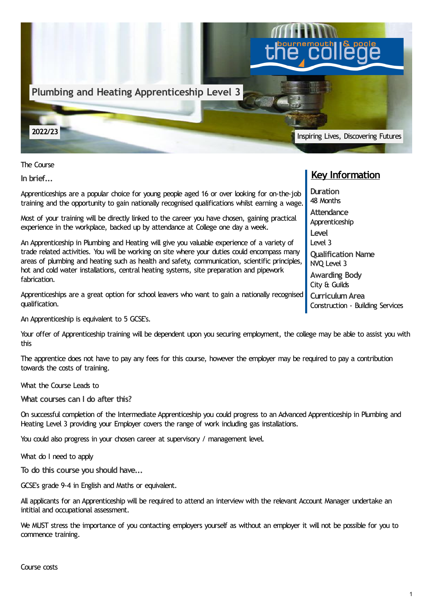

The Course

**In brief...**

Apprenticeships are a popular choice for young people aged 16 or over looking for on-the-job training and the opportunity to gain nationally recognised qualifications whilst earning a wage.

Most of your training will be directly linked to the career you have chosen, gaining practical experience in the workplace, backed up by attendance at College one day a week.

An Apprenticeship in Plumbing and Heating will give you valuable experience of a variety of trade related activities. You will be working on site where your duties could encompass many areas of plumbing and heating such as health and safety, communication, scientific principles, hot and cold water installations, central heating systems, site preparation and pipework fabrication.

Apprenticeships are a great option for school leavers who want to gain a nationally recognised qualification.

An Apprenticeship is equivalent to 5 GCSE's.

Your offer of Apprenticeship training will be dependent upon you securing employment, the college may be able to assist you with this

The apprentice does not have to pay any fees for this course, however the employer may be required to pay a contribution towards the costs of training.

What the Course Leads to

**What courses can I do after this?**

On successful completion of the Intermediate Apprenticeship you could progress to an Advanced Apprenticeship in Plumbing and Heating Level 3 providing your Employer covers the range of work including gas installations.

You could also progress in your chosen career at supervisory / management level.

What do I need to apply

**To do this course you should have...**

GCSE's grade 9-4 in English and Maths or equivalent.

All applicants for an Apprenticeship will be required to attend an interview with the relevant Account Manager undertake an intitial and occupational assessment.

We MUST stress the importance of you contacting employers yourself as without an employer it will not be possible for you to commence training.

## **Key Information**

**Duration** 48 Months **Attendance** Apprenticeship **Level** Level 3 **Qualification Name** NVQ Level 3 **Awarding Body** City & Guilds **CurriculumArea**

Construction - Building Services